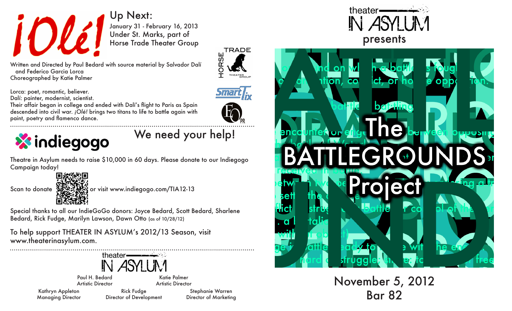

January 31 - February 16, 2013 Under St. Marks, part of Horse Trade Theater Group Up Next:

**TRADE** Ш **IORSE** THEATER<br>SROUP  $\top$ 

Lorca: poet, romantic, believer.

Dalí: painter, modernist, scientist.

 and Federico Garcia Lorca Choreographed by Katie Palmer

Their affair began in college and ended with Dalí's flight to Paris as Spain descended into civil war. *¡Olé!* brings two titans to life to battle again with paint, poetry and flamenco dance.





We need your help!

Theatre in Asylum needs to raise \$10,000 in 60 days. Please donate to our Indiegogo Campaign today!

Scan to donate  $\frac{1}{2}$ ,  $\frac{1}{2}$ , or visit www.indiegogo.com/TIA12-13

Special thanks to all our IndieGoGo donors: Joyce Bedard, Scott Bedard, Sharlene Bedard, Rick Fudge, Marilyn Lawson, Dawn Otto (as of 10/28/12)

To help support THEATER IN ASYLUM's 2012/13 Season, visit www.theaterinasylum.com.

Artistic Director

theater-IN ASYLIM Paul H. Bedard Katie Palmer

Kathryn Appleton Managing Director

Artistic Director Rick Fudge Director of Development

Stephanie Warren Director of Marketing





November 5, 2012 Bar 82